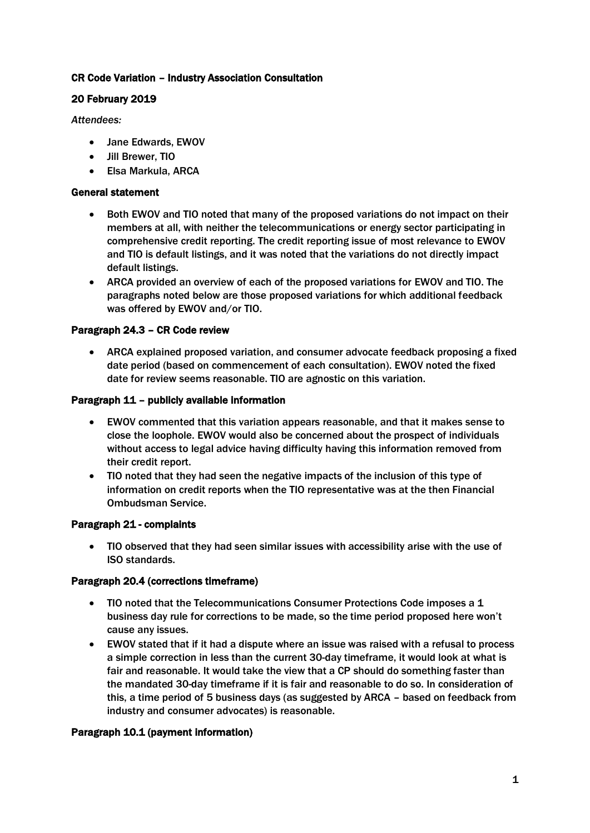## CR Code Variation – Industry Association Consultation

# 20 February 2019

*Attendees:*

- Jane Edwards, EWOV
- Jill Brewer, TIO
- Elsa Markula, ARCA

### General statement

- Both EWOV and TIO noted that many of the proposed variations do not impact on their members at all, with neither the telecommunications or energy sector participating in comprehensive credit reporting. The credit reporting issue of most relevance to EWOV and TIO is default listings, and it was noted that the variations do not directly impact default listings.
- ARCA provided an overview of each of the proposed variations for EWOV and TIO. The paragraphs noted below are those proposed variations for which additional feedback was offered by EWOV and/or TIO.

## Paragraph 24.3 – CR Code review

• ARCA explained proposed variation, and consumer advocate feedback proposing a fixed date period (based on commencement of each consultation). EWOV noted the fixed date for review seems reasonable. TIO are agnostic on this variation.

#### Paragraph 11 – publicly available information

- EWOV commented that this variation appears reasonable, and that it makes sense to close the loophole. EWOV would also be concerned about the prospect of individuals without access to legal advice having difficulty having this information removed from their credit report.
- TIO noted that they had seen the negative impacts of the inclusion of this type of information on credit reports when the TIO representative was at the then Financial Ombudsman Service.

## Paragraph 21 - complaints

• TIO observed that they had seen similar issues with accessibility arise with the use of ISO standards.

## Paragraph 20.4 (corrections timeframe)

- TIO noted that the Telecommunications Consumer Protections Code imposes a 1 business day rule for corrections to be made, so the time period proposed here won't cause any issues.
- EWOV stated that if it had a dispute where an issue was raised with a refusal to process a simple correction in less than the current 30-day timeframe, it would look at what is fair and reasonable. It would take the view that a CP should do something faster than the mandated 30-day timeframe if it is fair and reasonable to do so. In consideration of this, a time period of 5 business days (as suggested by ARCA – based on feedback from industry and consumer advocates) is reasonable.

## Paragraph 10.1 (payment information)